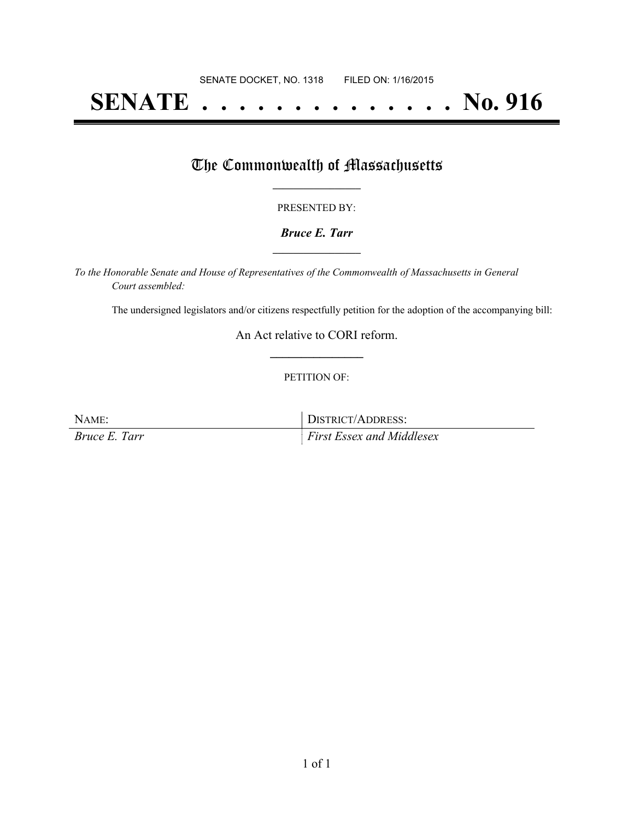# **SENATE . . . . . . . . . . . . . . No. 916**

### The Commonwealth of Massachusetts

#### PRESENTED BY:

#### *Bruce E. Tarr* **\_\_\_\_\_\_\_\_\_\_\_\_\_\_\_\_\_**

*To the Honorable Senate and House of Representatives of the Commonwealth of Massachusetts in General Court assembled:*

The undersigned legislators and/or citizens respectfully petition for the adoption of the accompanying bill:

An Act relative to CORI reform. **\_\_\_\_\_\_\_\_\_\_\_\_\_\_\_**

#### PETITION OF:

NAME: DISTRICT/ADDRESS:

*Bruce E. Tarr First Essex and Middlesex*